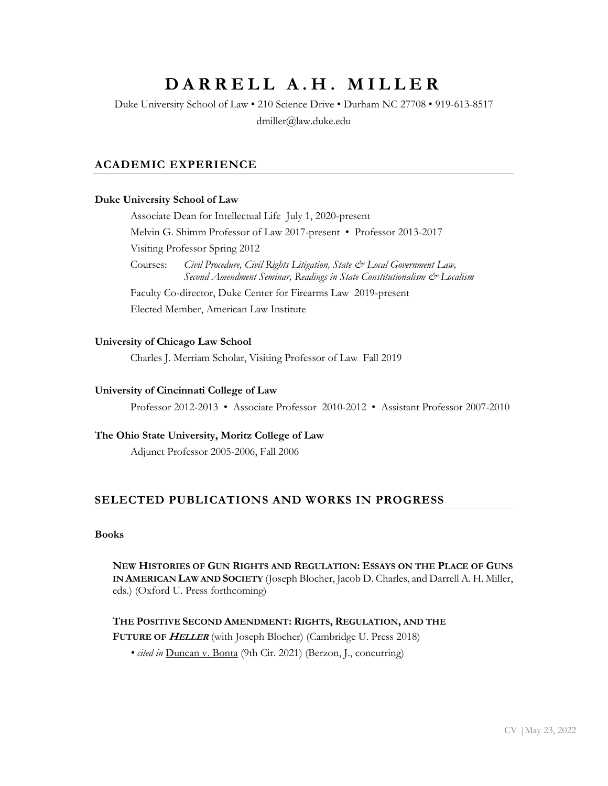# DARRELL A.H. MILLER

Duke University School of Law • 210 Science Drive • Durham NC 27708 • 919-613-8517 dmiller@law.duke.edu

# **ACADEMIC EXPERIENCE**

## **Duke University School of Law**

Associate Dean for Intellectual Life July 1, 2020-present Melvin G. Shimm Professor of Law 2017-present • Professor 2013-2017 Visiting Professor Spring 2012 Courses: *Civil Procedure, Civil Rights Litigation, State & Local Government Law, Second Amendment Seminar, Readings in State Constitutionalism & Localism* Faculty Co-director, Duke Center for Firearms Law 2019-present Elected Member, American Law Institute

## **University of Chicago Law School**

Charles J. Merriam Scholar, Visiting Professor of Law Fall 2019

#### **University of Cincinnati College of Law**

Professor 2012-2013 • Associate Professor 2010-2012 • Assistant Professor 2007-2010

# **The Ohio State University, Moritz College of Law**

Adjunct Professor 2005-2006, Fall 2006

# **SELECTED PUBLICATIONS AND WORKS IN PROGRESS**

## **Books**

**NEW HISTORIES OF GUN RIGHTS AND REGULATION: ESSAYS ON THE PLACE OF GUNS IN AMERICAN LAW AND SOCIETY** (Joseph Blocher, Jacob D. Charles, and Darrell A. H. Miller, eds.) (Oxford U. Press forthcoming)

## **THE POSITIVE SECOND AMENDMENT: RIGHTS, REGULATION, AND THE**

**FUTURE OF HELLER** (with Joseph Blocher) (Cambridge U. Press 2018)

*• cited in* Duncan v. Bonta (9th Cir. 2021) (Berzon, J., concurring)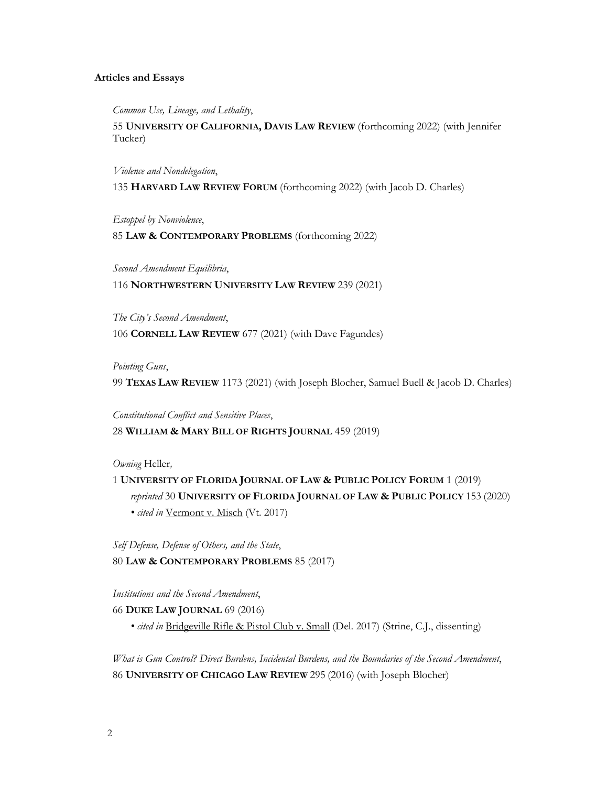## **Articles and Essays**

*Common Use, Lineage, and Lethality*,

55 **UNIVERSITY OF CALIFORNIA, DAVIS LAW REVIEW** (forthcoming 2022) (with Jennifer Tucker)

*Violence and Nondelegation*,

135 **HARVARD LAW REVIEW FORUM** (forthcoming 2022) (with Jacob D. Charles)

*Estoppel by Nonviolence*,

85 **LAW & CONTEMPORARY PROBLEMS** (forthcoming 2022)

*Second Amendment Equilibria*,

116 **NORTHWESTERN UNIVERSITY LAW REVIEW** 239 (2021)

*The City's Second Amendment*, 106 **CORNELL LAW REVIEW** 677 (2021) (with Dave Fagundes)

*Pointing Guns*,

99 **TEXAS LAW REVIEW** 1173 (2021) (with Joseph Blocher, Samuel Buell & Jacob D. Charles)

*Constitutional Conflict and Sensitive Places*,

28 **WILLIAM & MARY BILL OF RIGHTS JOURNAL** 459 (2019)

*Owning* Heller*,* 

1 **UNIVERSITY OF FLORIDA JOURNAL OF LAW & PUBLIC POLICY FORUM** 1 (2019) *reprinted* 30 **UNIVERSITY OF FLORIDA JOURNAL OF LAW & PUBLIC POLICY** 153 (2020) *• cited in* Vermont v. Misch (Vt. 2017)

*Self Defense, Defense of Others, and the State*, 80 **LAW & CONTEMPORARY PROBLEMS** 85 (2017)

*Institutions and the Second Amendment*,

66 **DUKE LAW JOURNAL** 69 (2016)

*• cited in* Bridgeville Rifle & Pistol Club v. Small (Del. 2017) (Strine, C.J., dissenting)

*What is Gun Control? Direct Burdens, Incidental Burdens, and the Boundaries of the Second Amendment*, 86 **UNIVERSITY OF CHICAGO LAW REVIEW** 295 (2016) (with Joseph Blocher)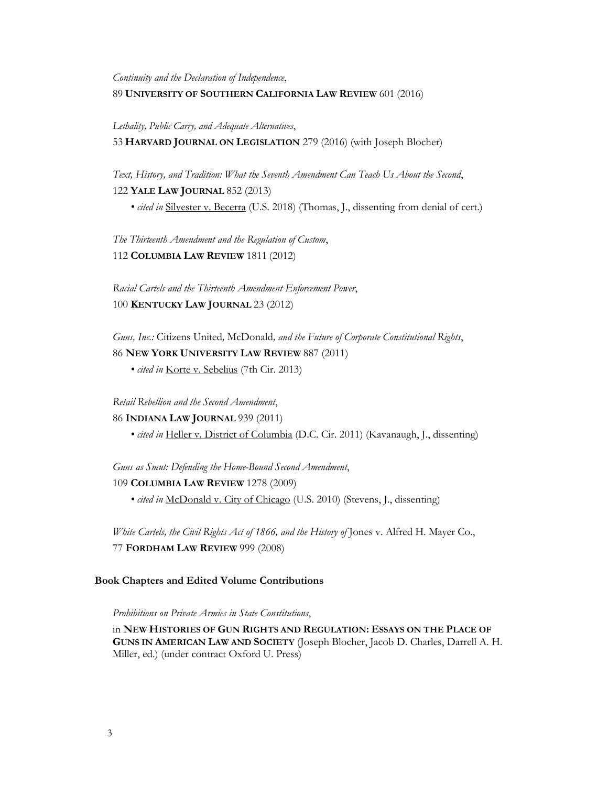*Continuity and the Declaration of Independence*, 89 **UNIVERSITY OF SOUTHERN CALIFORNIA LAW REVIEW** 601 (2016)

*Lethality, Public Carry, and Adequate Alternatives*,

53 **HARVARD JOURNAL ON LEGISLATION** 279 (2016) (with Joseph Blocher)

*Text, History, and Tradition: What the Seventh Amendment Can Teach Us About the Second*, 122 **YALE LAW JOURNAL** 852 (2013)

*• cited in* Silvester v. Becerra (U.S. 2018) (Thomas, J., dissenting from denial of cert.)

*The Thirteenth Amendment and the Regulation of Custom*, 112 **COLUMBIA LAW REVIEW** 1811 (2012)

*Racial Cartels and the Thirteenth Amendment Enforcement Power*, 100 **KENTUCKY LAW JOURNAL** 23 (2012)

*Guns, Inc.:* Citizens United*,* McDonald*, and the Future of Corporate Constitutional Rights*, 86 **NEW YORK UNIVERSITY LAW REVIEW** 887 (2011)

• *cited in* Korte v. Sebelius (7th Cir. 2013)

*Retail Rebellion and the Second Amendment*,

## 86 **INDIANA LAW JOURNAL** 939 (2011)

• *cited in* Heller v. District of Columbia (D.C. Cir. 2011) (Kavanaugh, J., dissenting)

*Guns as Smut: Defending the Home-Bound Second Amendment*,

109 **COLUMBIA LAW REVIEW** 1278 (2009)

• *cited in* McDonald v. City of Chicago (U.S. 2010) (Stevens, J., dissenting)

*White Cartels, the Civil Rights Act of 1866, and the History of* Jones v. Alfred H. Mayer Co., 77 **FORDHAM LAW REVIEW** 999 (2008)

## **Book Chapters and Edited Volume Contributions**

*Prohibitions on Private Armies in State Constitutions*,

in **NEW HISTORIES OF GUN RIGHTS AND REGULATION: ESSAYS ON THE PLACE OF GUNS IN AMERICAN LAW AND SOCIETY** (Joseph Blocher, Jacob D. Charles, Darrell A. H. Miller, ed.) (under contract Oxford U. Press)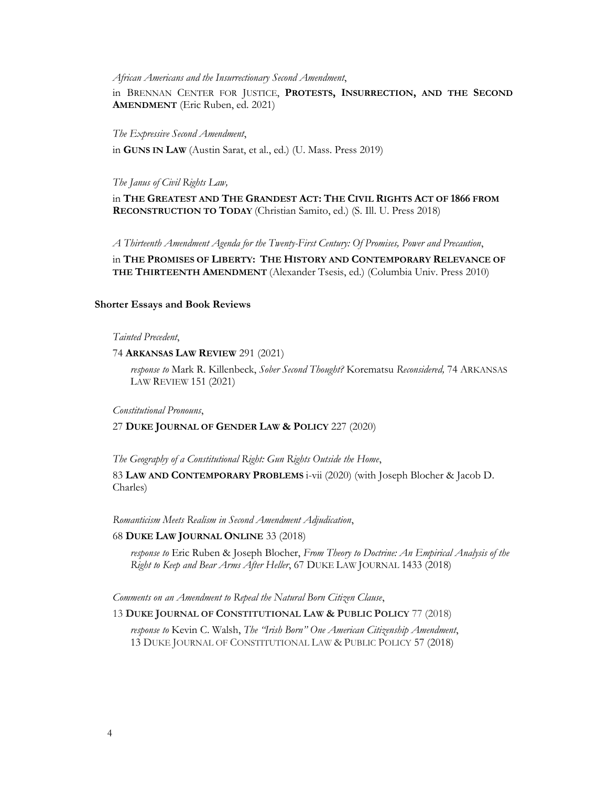*African Americans and the Insurrectionary Second Amendment*,

in BRENNAN CENTER FOR JUSTICE, **PROTESTS, INSURRECTION, AND THE SECOND AMENDMENT** (Eric Ruben, ed. 2021)

#### *The Expressive Second Amendment*,

in **GUNS IN LAW** (Austin Sarat, et al., ed.) (U. Mass. Press 2019)

*The Janus of Civil Rights Law,* 

in **THE GREATEST AND THE GRANDEST ACT: THE CIVIL RIGHTS ACT OF 1866 FROM RECONSTRUCTION TO TODAY** (Christian Samito, ed.) (S. Ill. U. Press 2018)

*A Thirteenth Amendment Agenda for the Twenty-First Century: Of Promises, Power and Precaution*,

in **THE PROMISES OF LIBERTY: THE HISTORY AND CONTEMPORARY RELEVANCE OF THE THIRTEENTH AMENDMENT** (Alexander Tsesis, ed.) (Columbia Univ. Press 2010)

## **Shorter Essays and Book Reviews**

#### *Tainted Precedent*,

74 **ARKANSAS LAW REVIEW** 291 (2021)

*response to* Mark R. Killenbeck, *Sober Second Thought?* Korematsu *Reconsidered,* 74 ARKANSAS LAW REVIEW 151 (2021)

*Constitutional Pronouns*,

### 27 **DUKE JOURNAL OF GENDER LAW & POLICY** 227 (2020)

*The Geography of a Constitutional Right: Gun Rights Outside the Home*,

83 **LAW AND CONTEMPORARY PROBLEMS** i-vii (2020) (with Joseph Blocher & Jacob D. Charles)

#### *Romanticism Meets Realism in Second Amendment Adjudication*,

#### 68 **DUKE LAW JOURNAL ONLINE** 33 (2018)

*response to* Eric Ruben & Joseph Blocher, *From Theory to Doctrine: An Empirical Analysis of the Right to Keep and Bear Arms After Heller*, 67 DUKE LAW JOURNAL 1433 (2018)

*Comments on an Amendment to Repeal the Natural Born Citizen Clause*,

#### 13 **DUKE JOURNAL OF CONSTITUTIONAL LAW & PUBLIC POLICY** 77 (2018)

*response to* Kevin C. Walsh, *The "Irish Born" One American Citizenship Amendment*, 13 DUKE JOURNAL OF CONSTITUTIONAL LAW & PUBLIC POLICY 57 (2018)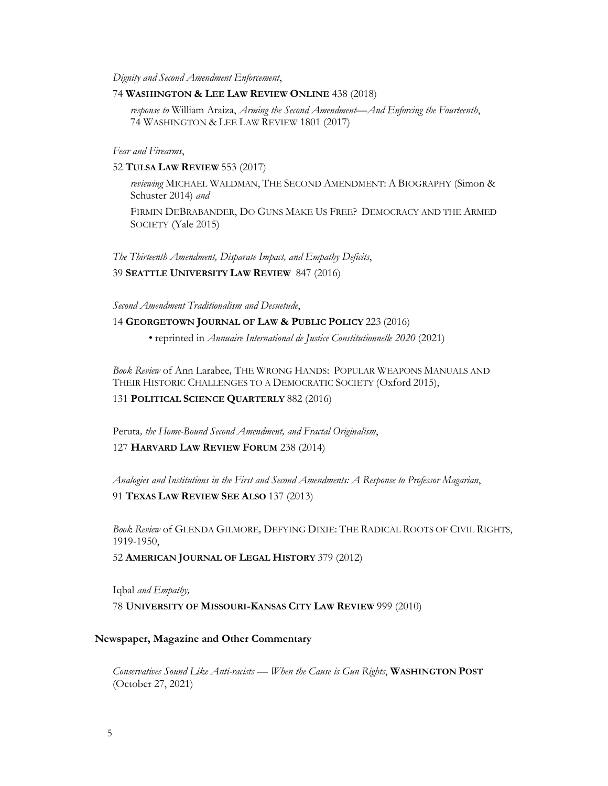*Dignity and Second Amendment Enforcement*,

## 74 **WASHINGTON & LEE LAW REVIEW ONLINE** 438 (2018)

*response to* William Araiza, *Arming the Second Amendment—And Enforcing the Fourteenth*, 74 WASHINGTON & LEE LAW REVIEW 1801 (2017)

*Fear and Firearms*,

#### 52 **TULSA LAW REVIEW** 553 (2017)

*reviewing* MICHAEL WALDMAN, THE SECOND AMENDMENT: A BIOGRAPHY (Simon & Schuster 2014) *and* 

FIRMIN DEBRABANDER, DO GUNS MAKE US FREE? DEMOCRACY AND THE ARMED SOCIETY (Yale 2015)

*The Thirteenth Amendment, Disparate Impact, and Empathy Deficits*, 39 **SEATTLE UNIVERSITY LAW REVIEW** 847 (2016)

*Second Amendment Traditionalism and Desuetude*,

## 14 **GEORGETOWN JOURNAL OF LAW & PUBLIC POLICY** 223 (2016)

*•* reprinted in *Annuaire International de Justice Constitutionnelle 2020* (2021)

*Book Review* of Ann Larabee*,* THE WRONG HANDS: POPULAR WEAPONS MANUALS AND THEIR HISTORIC CHALLENGES TO A DEMOCRATIC SOCIETY (Oxford 2015),

131 **POLITICAL SCIENCE QUARTERLY** 882 (2016)

Peruta*, the Home-Bound Second Amendment, and Fractal Originalism*,

## 127 **HARVARD LAW REVIEW FORUM** 238 (2014)

*Analogies and Institutions in the First and Second Amendments: A Response to Professor Magarian*, 91 **TEXAS LAW REVIEW SEE ALSO** 137 (2013)

*Book Review* of GLENDA GILMORE*,* DEFYING DIXIE: THE RADICAL ROOTS OF CIVIL RIGHTS, 1919-1950,

52 **AMERICAN JOURNAL OF LEGAL HISTORY** 379 (2012)

Iqbal *and Empathy,*  78 **UNIVERSITY OF MISSOURI-KANSAS CITY LAW REVIEW** 999 (2010)

#### **Newspaper, Magazine and Other Commentary**

*Conservatives Sound Like Anti-racists — When the Cause is Gun Rights*, **WASHINGTON POST** (October 27, 2021)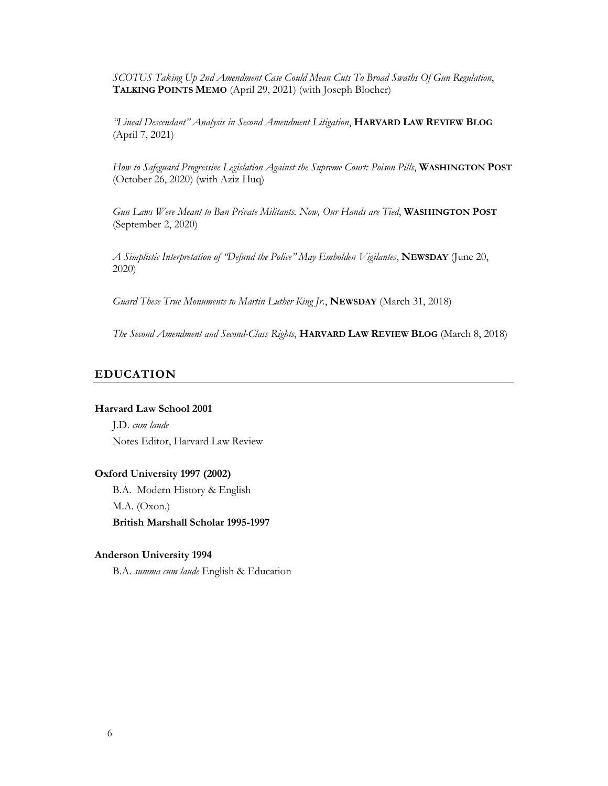*SCOTUS Taking Up 2nd Amendment Case Could Mean Cuts To Broad Swaths Of Gun Regulation*, **TALKING POINTS MEMO** (April 29, 2021) (with Joseph Blocher)

*"Lineal Descendant" Analysis in Second Amendment Litigation*, **HARVARD LAW REVIEW BLOG** (April 7, 2021)

*How to Safeguard Progressive Legislation Against the Supreme Court: Poison Pills*, **WASHINGTON POST** (October 26, 2020) (with Aziz Huq)

*Gun Laws Were Meant to Ban Private Militants. Now, Our Hands are Tied*, **WASHINGTON POST** (September 2, 2020)

*A Simplistic Interpretation of "Defund the Police" May Embolden Vigilantes*, **NEWSDAY** (June 20, 2020)

*Guard These True Monuments to Martin Luther King Jr.*, **NEWSDAY** (March 31, 2018)

*The Second Amendment and Second-Class Rights*, **HARVARD LAW REVIEW BLOG** (March 8, 2018)

## **EDUCATION**

## **Harvard Law School 2001**

J.D. *cum laude* Notes Editor, Harvard Law Review

## **Oxford University 1997 (2002)**

B.A. Modern History & English M.A. (Oxon.) **British Marshall Scholar 1995-1997**

#### **Anderson University 1994**

B.A. *summa cum laude* English & Education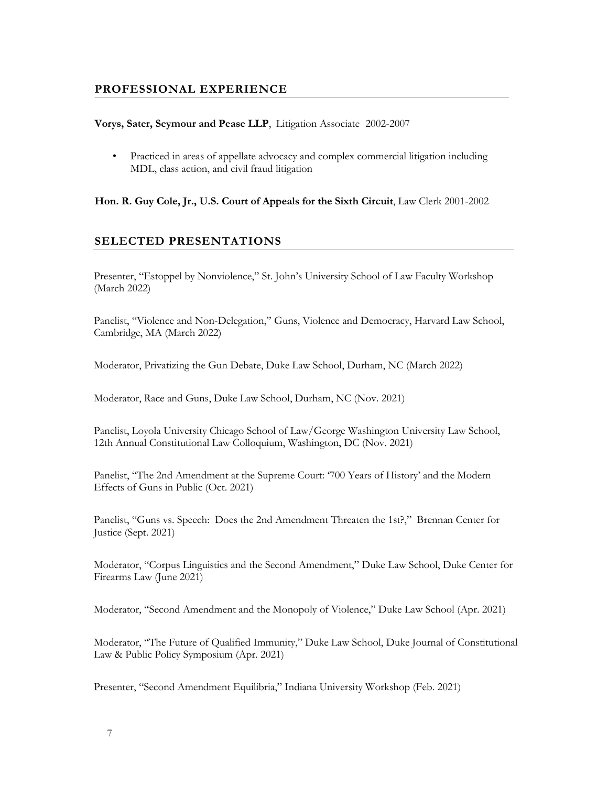# **PROFESSIONAL EXPERIENCE**

## **Vorys, Sater, Seymour and Pease LLP**, Litigation Associate 2002-2007

• Practiced in areas of appellate advocacy and complex commercial litigation including MDL, class action, and civil fraud litigation

## **Hon. R. Guy Cole, Jr., U.S. Court of Appeals for the Sixth Circuit**, Law Clerk 2001-2002

# **SELECTED PRESENTATIONS**

Presenter, "Estoppel by Nonviolence," St. John's University School of Law Faculty Workshop (March 2022)

Panelist, "Violence and Non-Delegation," Guns, Violence and Democracy, Harvard Law School, Cambridge, MA (March 2022)

Moderator, Privatizing the Gun Debate, Duke Law School, Durham, NC (March 2022)

Moderator, Race and Guns, Duke Law School, Durham, NC (Nov. 2021)

Panelist, Loyola University Chicago School of Law/George Washington University Law School, 12th Annual Constitutional Law Colloquium, Washington, DC (Nov. 2021)

Panelist, "The 2nd Amendment at the Supreme Court: '700 Years of History' and the Modern Effects of Guns in Public (Oct. 2021)

Panelist, "Guns vs. Speech: Does the 2nd Amendment Threaten the 1st?," Brennan Center for Justice (Sept. 2021)

Moderator, "Corpus Linguistics and the Second Amendment," Duke Law School, Duke Center for Firearms Law (June 2021)

Moderator, "Second Amendment and the Monopoly of Violence," Duke Law School (Apr. 2021)

Moderator, "The Future of Qualified Immunity," Duke Law School, Duke Journal of Constitutional Law & Public Policy Symposium (Apr. 2021)

Presenter, "Second Amendment Equilibria," Indiana University Workshop (Feb. 2021)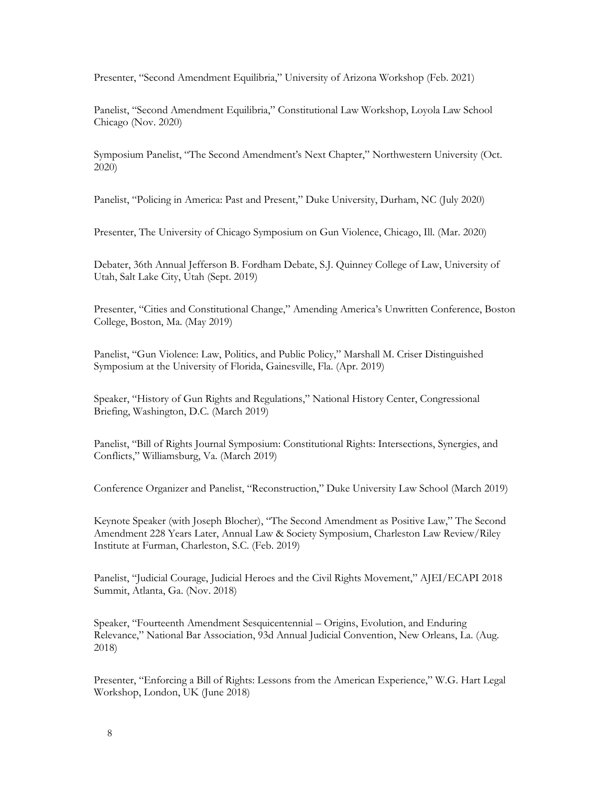Presenter, "Second Amendment Equilibria," University of Arizona Workshop (Feb. 2021)

Panelist, "Second Amendment Equilibria," Constitutional Law Workshop, Loyola Law School Chicago (Nov. 2020)

Symposium Panelist, "The Second Amendment's Next Chapter," Northwestern University (Oct. 2020)

Panelist, "Policing in America: Past and Present," Duke University, Durham, NC (July 2020)

Presenter, The University of Chicago Symposium on Gun Violence, Chicago, Ill. (Mar. 2020)

Debater, 36th Annual Jefferson B. Fordham Debate, S.J. Quinney College of Law, University of Utah, Salt Lake City, Utah (Sept. 2019)

Presenter, "Cities and Constitutional Change," Amending America's Unwritten Conference, Boston College, Boston, Ma. (May 2019)

Panelist, "Gun Violence: Law, Politics, and Public Policy," Marshall M. Criser Distinguished Symposium at the University of Florida, Gainesville, Fla. (Apr. 2019)

Speaker, "History of Gun Rights and Regulations," National History Center, Congressional Briefing, Washington, D.C. (March 2019)

Panelist, "Bill of Rights Journal Symposium: Constitutional Rights: Intersections, Synergies, and Conflicts," Williamsburg, Va. (March 2019)

Conference Organizer and Panelist, "Reconstruction," Duke University Law School (March 2019)

Keynote Speaker (with Joseph Blocher), "The Second Amendment as Positive Law," The Second Amendment 228 Years Later, Annual Law & Society Symposium, Charleston Law Review/Riley Institute at Furman, Charleston, S.C. (Feb. 2019)

Panelist, "Judicial Courage, Judicial Heroes and the Civil Rights Movement," AJEI/ECAPI 2018 Summit, Atlanta, Ga. (Nov. 2018)

Speaker, "Fourteenth Amendment Sesquicentennial – Origins, Evolution, and Enduring Relevance," National Bar Association, 93d Annual Judicial Convention, New Orleans, La. (Aug. 2018)

Presenter, "Enforcing a Bill of Rights: Lessons from the American Experience," W.G. Hart Legal Workshop, London, UK (June 2018)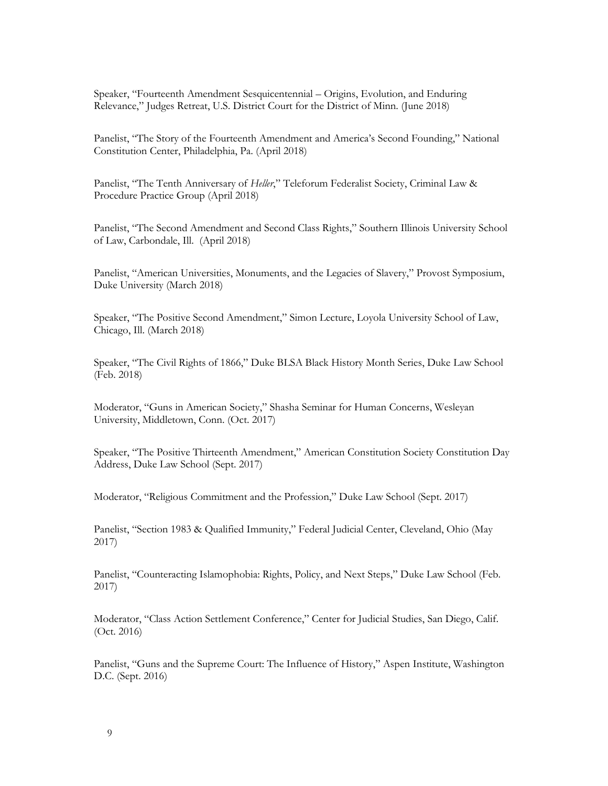Speaker, "Fourteenth Amendment Sesquicentennial – Origins, Evolution, and Enduring Relevance," Judges Retreat, U.S. District Court for the District of Minn. (June 2018)

Panelist, "The Story of the Fourteenth Amendment and America's Second Founding," National Constitution Center, Philadelphia, Pa. (April 2018)

Panelist, "The Tenth Anniversary of *Heller*," Teleforum Federalist Society, Criminal Law & Procedure Practice Group (April 2018)

Panelist, "The Second Amendment and Second Class Rights," Southern Illinois University School of Law, Carbondale, Ill. (April 2018)

Panelist, "American Universities, Monuments, and the Legacies of Slavery," Provost Symposium, Duke University (March 2018)

Speaker, "The Positive Second Amendment," Simon Lecture, Loyola University School of Law, Chicago, Ill. (March 2018)

Speaker, "The Civil Rights of 1866," Duke BLSA Black History Month Series, Duke Law School (Feb. 2018)

Moderator, "Guns in American Society," Shasha Seminar for Human Concerns, Wesleyan University, Middletown, Conn. (Oct. 2017)

Speaker, "The Positive Thirteenth Amendment," American Constitution Society Constitution Day Address, Duke Law School (Sept. 2017)

Moderator, "Religious Commitment and the Profession," Duke Law School (Sept. 2017)

Panelist, "Section 1983 & Qualified Immunity," Federal Judicial Center, Cleveland, Ohio (May 2017)

Panelist, "Counteracting Islamophobia: Rights, Policy, and Next Steps," Duke Law School (Feb. 2017)

Moderator, "Class Action Settlement Conference," Center for Judicial Studies, San Diego, Calif. (Oct. 2016)

Panelist, "Guns and the Supreme Court: The Influence of History," Aspen Institute, Washington D.C. (Sept. 2016)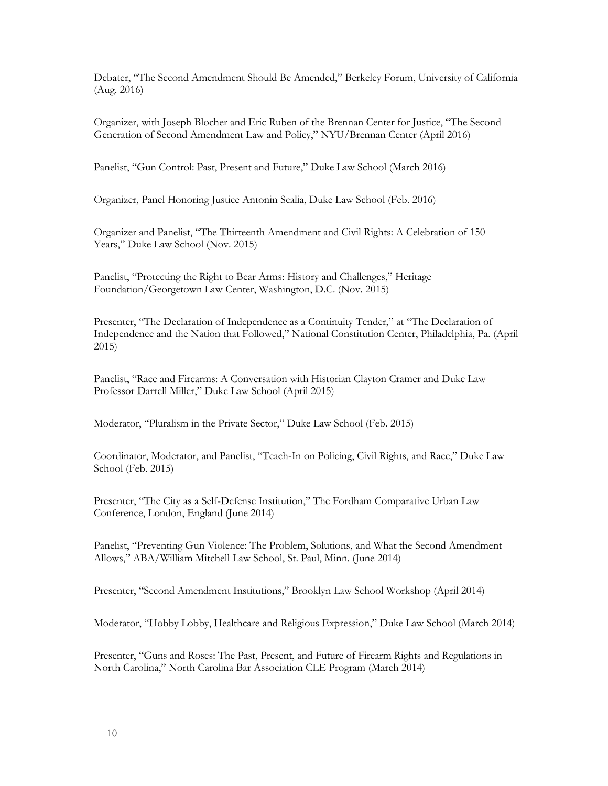Debater, "The Second Amendment Should Be Amended," Berkeley Forum, University of California (Aug. 2016)

Organizer, with Joseph Blocher and Eric Ruben of the Brennan Center for Justice, "The Second Generation of Second Amendment Law and Policy," NYU/Brennan Center (April 2016)

Panelist, "Gun Control: Past, Present and Future," Duke Law School (March 2016)

Organizer, Panel Honoring Justice Antonin Scalia, Duke Law School (Feb. 2016)

Organizer and Panelist, "The Thirteenth Amendment and Civil Rights: A Celebration of 150 Years," Duke Law School (Nov. 2015)

Panelist, "Protecting the Right to Bear Arms: History and Challenges," Heritage Foundation/Georgetown Law Center, Washington, D.C. (Nov. 2015)

Presenter, "The Declaration of Independence as a Continuity Tender," at "The Declaration of Independence and the Nation that Followed," National Constitution Center, Philadelphia, Pa. (April 2015)

Panelist, "Race and Firearms: A Conversation with Historian Clayton Cramer and Duke Law Professor Darrell Miller," Duke Law School (April 2015)

Moderator, "Pluralism in the Private Sector," Duke Law School (Feb. 2015)

Coordinator, Moderator, and Panelist, "Teach-In on Policing, Civil Rights, and Race," Duke Law School (Feb. 2015)

Presenter, "The City as a Self-Defense Institution," The Fordham Comparative Urban Law Conference, London, England (June 2014)

Panelist, "Preventing Gun Violence: The Problem, Solutions, and What the Second Amendment Allows," ABA/William Mitchell Law School, St. Paul, Minn. (June 2014)

Presenter, "Second Amendment Institutions," Brooklyn Law School Workshop (April 2014)

Moderator, "Hobby Lobby, Healthcare and Religious Expression," Duke Law School (March 2014)

Presenter, "Guns and Roses: The Past, Present, and Future of Firearm Rights and Regulations in North Carolina," North Carolina Bar Association CLE Program (March 2014)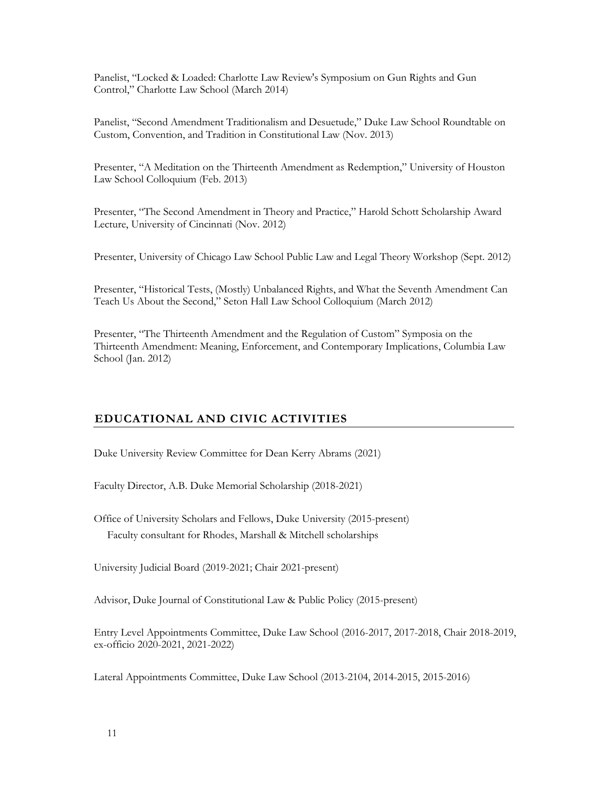Panelist, "Locked & Loaded: Charlotte Law Review's Symposium on Gun Rights and Gun Control," Charlotte Law School (March 2014)

Panelist, "Second Amendment Traditionalism and Desuetude," Duke Law School Roundtable on Custom, Convention, and Tradition in Constitutional Law (Nov. 2013)

Presenter, "A Meditation on the Thirteenth Amendment as Redemption," University of Houston Law School Colloquium (Feb. 2013)

Presenter, "The Second Amendment in Theory and Practice," Harold Schott Scholarship Award Lecture, University of Cincinnati (Nov. 2012)

Presenter, University of Chicago Law School Public Law and Legal Theory Workshop (Sept. 2012)

Presenter, "Historical Tests, (Mostly) Unbalanced Rights, and What the Seventh Amendment Can Teach Us About the Second," Seton Hall Law School Colloquium (March 2012)

Presenter, "The Thirteenth Amendment and the Regulation of Custom" Symposia on the Thirteenth Amendment: Meaning, Enforcement, and Contemporary Implications, Columbia Law School (Jan. 2012)

# **EDUCATIONAL AND CIVIC ACTIVITIES**

Duke University Review Committee for Dean Kerry Abrams (2021)

Faculty Director, A.B. Duke Memorial Scholarship (2018-2021)

Office of University Scholars and Fellows, Duke University (2015-present) Faculty consultant for Rhodes, Marshall & Mitchell scholarships

University Judicial Board (2019-2021; Chair 2021-present)

Advisor, Duke Journal of Constitutional Law & Public Policy (2015-present)

Entry Level Appointments Committee, Duke Law School (2016-2017, 2017-2018, Chair 2018-2019, ex-officio 2020-2021, 2021-2022)

Lateral Appointments Committee, Duke Law School (2013-2104, 2014-2015, 2015-2016)